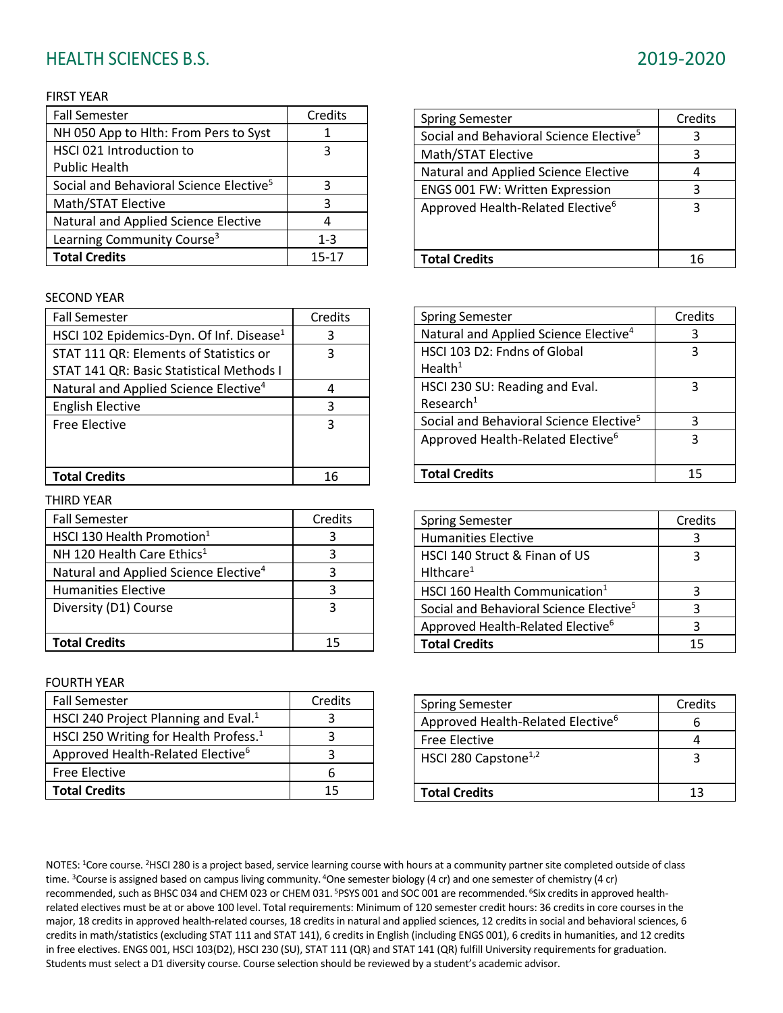# HEALTH SCIENCES B.S. 2019-2020

#### FIRST YEAR

| <b>Fall Semester</b>                                | Credits |
|-----------------------------------------------------|---------|
| NH 050 App to Hlth: From Pers to Syst               |         |
| HSCI 021 Introduction to                            | З       |
| <b>Public Health</b>                                |         |
| Social and Behavioral Science Elective <sup>5</sup> | З       |
| Math/STAT Elective                                  | 3       |
| Natural and Applied Science Elective                |         |
| Learning Community Course <sup>3</sup>              | $1 - 3$ |
| <b>Total Credits</b>                                | 15-17   |

#### SECOND YEAR

| <b>Fall Semester</b>                              | Credits |
|---------------------------------------------------|---------|
| HSCI 102 Epidemics-Dyn. Of Inf. Disease $1$       | З       |
| STAT 111 QR: Elements of Statistics or            | ੨       |
| STAT 141 QR: Basic Statistical Methods I          |         |
| Natural and Applied Science Elective <sup>4</sup> |         |
| <b>English Elective</b>                           | ੨       |
| <b>Free Elective</b>                              | ঽ       |
|                                                   |         |
|                                                   |         |
| <b>Total Credits</b>                              | าค      |

#### THIRD YEAR

| <b>Fall Semester</b>                              | Credits |
|---------------------------------------------------|---------|
| HSCI 130 Health Promotion $1$                     | З       |
| NH 120 Health Care Ethics <sup>1</sup>            | ੨       |
| Natural and Applied Science Elective <sup>4</sup> | 3       |
| <b>Humanities Elective</b>                        | 3       |
| Diversity (D1) Course                             | ঽ       |
|                                                   |         |
| <b>Total Credits</b>                              | 15      |

#### FOURTH YEAR

| <b>Fall Semester</b>                              | Credits |
|---------------------------------------------------|---------|
| HSCI 240 Project Planning and Eval. <sup>1</sup>  |         |
| HSCI 250 Writing for Health Profess. <sup>1</sup> |         |
| Approved Health-Related Elective <sup>6</sup>     |         |
| <b>Free Elective</b>                              |         |
| <b>Total Credits</b>                              | 15      |

| <b>Spring Semester</b>                              | Credits |
|-----------------------------------------------------|---------|
| Social and Behavioral Science Elective <sup>5</sup> | 3       |
| Math/STAT Elective                                  | 3       |
| Natural and Applied Science Elective                |         |
| ENGS 001 FW: Written Expression                     | 3       |
| Approved Health-Related Elective <sup>6</sup>       | ς       |
|                                                     |         |
| <b>Total Credits</b>                                | 16      |

| <b>Spring Semester</b>                              | Credits |
|-----------------------------------------------------|---------|
| Natural and Applied Science Elective <sup>4</sup>   | 3       |
| HSCI 103 D2: Fndns of Global                        | 3       |
| Health <sup>1</sup>                                 |         |
| HSCI 230 SU: Reading and Eval.                      | ς       |
| Research <sup>1</sup>                               |         |
| Social and Behavioral Science Elective <sup>5</sup> | 3       |
| Approved Health-Related Elective <sup>6</sup>       | ξ       |
|                                                     |         |
| <b>Total Credits</b>                                |         |

| <b>Spring Semester</b>                              | Credits |
|-----------------------------------------------------|---------|
| <b>Humanities Elective</b>                          |         |
| HSCI 140 Struct & Finan of US                       |         |
| Hithcare <sup>1</sup>                               |         |
| HSCI 160 Health Communication <sup>1</sup>          |         |
| Social and Behavioral Science Elective <sup>5</sup> | ર       |
| Approved Health-Related Elective <sup>6</sup>       | з       |
| <b>Total Credits</b>                                |         |

| <b>Spring Semester</b>                        | Credits |
|-----------------------------------------------|---------|
| Approved Health-Related Elective <sup>6</sup> |         |
| <b>Free Elective</b>                          |         |
| HSCI 280 Capstone <sup>1,2</sup>              |         |
|                                               |         |
| <b>Total Credits</b>                          |         |

NOTES: <sup>1</sup>Core course. <sup>2</sup>HSCI 280 is a project based, service learning course with hours at a community partner site completed outside of class time. <sup>3</sup>Course is assigned based on campus living community. <sup>4</sup>One semester biology (4 cr) and one semester of chemistry (4 cr) recommended, such as BHSC 034 and CHEM 023 or CHEM 031. <sup>5</sup>PSYS 001 and SOC 001 are recommended. <sup>6</sup>Six credits in approved healthrelated electives must be at or above 100 level. Total requirements: Minimum of 120 semester credit hours: 36 credits in core courses in the major, 18 credits in approved health-related courses, 18 credits in natural and applied sciences, 12 credits in social and behavioral sciences, 6 credits in math/statistics (excluding STAT 111 and STAT 141), 6 credits in English (including ENGS 001), 6 credits in humanities, and 12 credits in free electives. ENGS 001, HSCI 103(D2), HSCI 230 (SU), STAT 111 (QR) and STAT 141 (QR) fulfill University requirements for graduation. Students must select a D1 diversity course. Course selection should be reviewed by a student's academic advisor.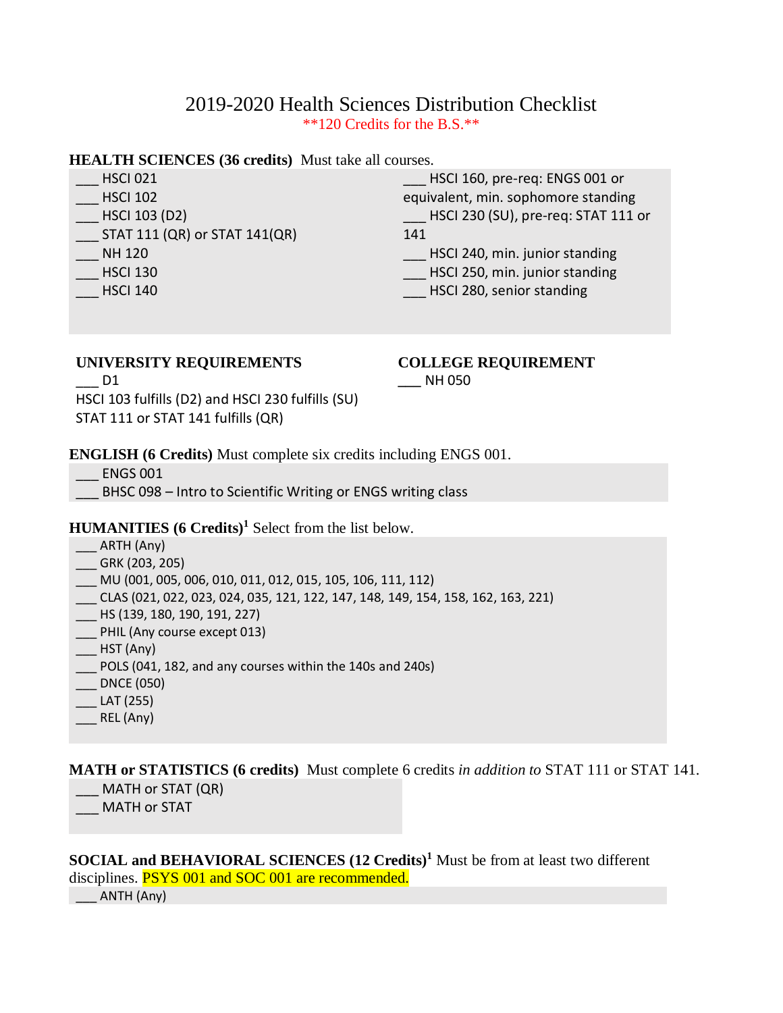# 2019-2020 Health Sciences Distribution Checklist \*\*120 Credits for the B.S.\*\*

### **HEALTH SCIENCES (36 credits)** Must take all courses.

| <b>HSCI 021</b> |  |
|-----------------|--|
| 11001302        |  |

- \_\_\_ HSCI 102 \_\_\_ HSCI 103 (D2)
- $\_$  STAT 111 (QR) or STAT 141(QR)
- \_\_\_ NH 120
- \_\_\_ HSCI 130
- \_\_\_ HSCI 140

\_\_\_ HSCI 160, pre-req: ENGS 001 or equivalent, min. sophomore standing \_\_\_ HSCI 230 (SU), pre-req: STAT 111 or 141

HSCI 240, min. junior standing

HSCI 250, min. junior standing

\_\_\_ HSCI 280, senior standing

# **UNIVERSITY REQUIREMENTS**

# **COLLEGE REQUIREMENT**

 $D1$ HSCI 103 fulfills (D2) and HSCI 230 fulfills (SU) STAT 111 or STAT 141 fulfills (QR)

**\_\_\_** NH 050

### **ENGLISH (6 Credits)** Must complete six credits including ENGS 001.

\_\_\_ ENGS 001

BHSC 098 – Intro to Scientific Writing or ENGS writing class

## **HUMANITIES (6 Credits)<sup>1</sup>** Select from the list below.

- \_\_\_ ARTH (Any)
- \_\_\_ GRK (203, 205)
- \_\_\_ MU (001, 005, 006, 010, 011, 012, 015, 105, 106, 111, 112)
- \_\_\_ CLAS (021, 022, 023, 024, 035, 121, 122, 147, 148, 149, 154, 158, 162, 163, 221)
- \_\_\_ HS (139, 180, 190, 191, 227)
- \_\_\_ PHIL (Any course except 013)
- $\overline{\phantom{0}}$  HST (Any)
- \_\_\_ POLS (041, 182, and any courses within the 140s and 240s)
- \_\_\_ DNCE (050)
- $-LAT (255)$
- $REL(Any)$

**MATH or STATISTICS (6 credits)** Must complete 6 credits *in addition to* STAT 111 or STAT 141. MATH or STAT (QR)

MATH or STAT

**SOCIAL and BEHAVIORAL SCIENCES (12 Credits)<sup>1</sup>** Must be from at least two different disciplines. **PSYS 001 and SOC 001 are recommended.**  $\sqrt{2}$  ANTH (Any)